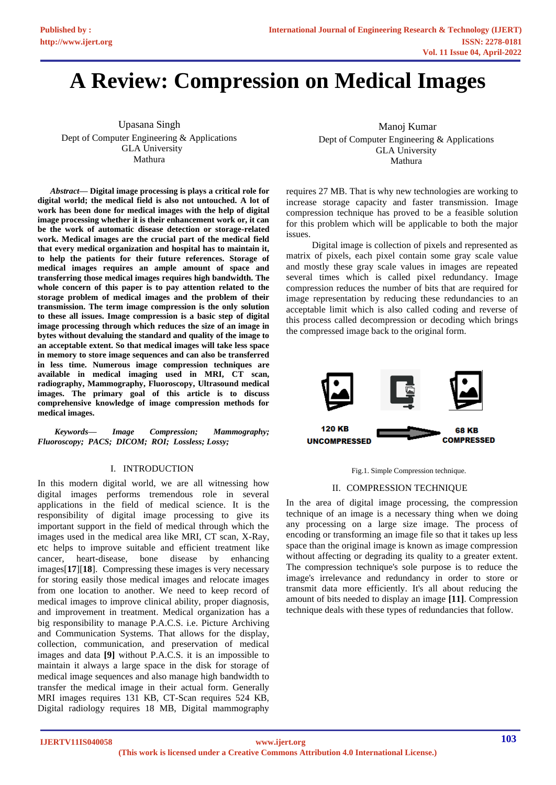# **A Review: Compression on Medical Images**

Upasana Singh Dept of Computer Engineering & Applications GLA University Mathura

*Abstract***— Digital image processing is plays a critical role for digital world; the medical field is also not untouched. A lot of work has been done for medical images with the help of digital image processing whether it is their enhancement work or, it can be the work of automatic disease detection or storage-related work. Medical images are the crucial part of the medical field that every medical organization and hospital has to maintain it, to help the patients for their future references. Storage of medical images requires an ample amount of space and transferring those medical images requires high bandwidth. The whole concern of this paper is to pay attention related to the storage problem of medical images and the problem of their transmission. The term image compression is the only solution to these all issues. Image compression is a basic step of digital image processing through which reduces the size of an image in bytes without devaluing the standard and quality of the image to an acceptable extent. So that medical images will take less space in memory to store image sequences and can also be transferred in less time. Numerous image compression techniques are available in medical imaging used in MRI, CT scan, radiography, Mammography, Fluoroscopy, Ultrasound medical images. The primary goal of this article is to discuss comprehensive knowledge of image compression methods for medical images.**

 *Keywords— Image Compression; Mammography; Fluoroscopy; PACS; DICOM; ROI; Lossless; Lossy;*

## I. INTRODUCTION

In this modern digital world, we are all witnessing how digital images performs tremendous role in several applications in the field of medical science. It is the responsibility of digital image processing to give its important support in the field of medical through which the images used in the medical area like MRI, CT scan, X-Ray, etc helps to improve suitable and efficient treatment like cancer, heart-disease, bone disease by enhancing images[**[17](#page-5-0)**][**[18](#page-5-0)**]. Compressing these images is very necessary for storing easily those medical images and relocate images from one location to another. We need to keep record of medical images to improve clinical ability, proper diagnosis, and improvement in treatment. Medical organization has a big responsibility to manage P.A.C.S. i.e. Picture Archiving and Communication Systems. That allows for the display, collection, communication, and preservation of medical images and data **[\[9\]](#page-5-0)** without P.A.C.S. it is an impossible to maintain it always a large space in the disk for storage of medical image sequences and also manage high bandwidth to transfer the medical image in their actual form. Generally MRI images requires 131 KB, CT-Scan requires 524 KB, Digital radiology requires 18 MB, Digital mammography

Manoj Kumar Dept of Computer Engineering & Applications GLA University Mathura

requires 27 MB. That is why new technologies are working to increase storage capacity and faster transmission. Image compression technique has proved to be a feasible solution for this problem which will be applicable to both the major issues.

 Digital image is collection of pixels and represented as matrix of pixels, each pixel contain some gray scale value and mostly these gray scale values in images are repeated several times which is called pixel redundancy. Image compression reduces the number of bits that are required for image representation by reducing these redundancies to an acceptable limit which is also called coding and reverse of this process called decompression or decoding which brings the compressed image back to the original form.



#### Fig.1. Simple Compression technique.

#### II. COMPRESSION TECHNIQUE

In the area of digital image processing, the compression technique of an image is a necessary thing when we doing any processing on a large size image. The process of encoding or transforming an image file so that it takes up less space than the original image is known as image compression without affecting or degrading its quality to a greater extent. The compression technique's sole purpose is to reduce the image's irrelevance and redundancy in order to store or transmit data more efficiently. It's all about reducing the amount of bits needed to display an image **[\[11\]](#page-5-0)**. Compression technique deals with these types of redundancies that follow.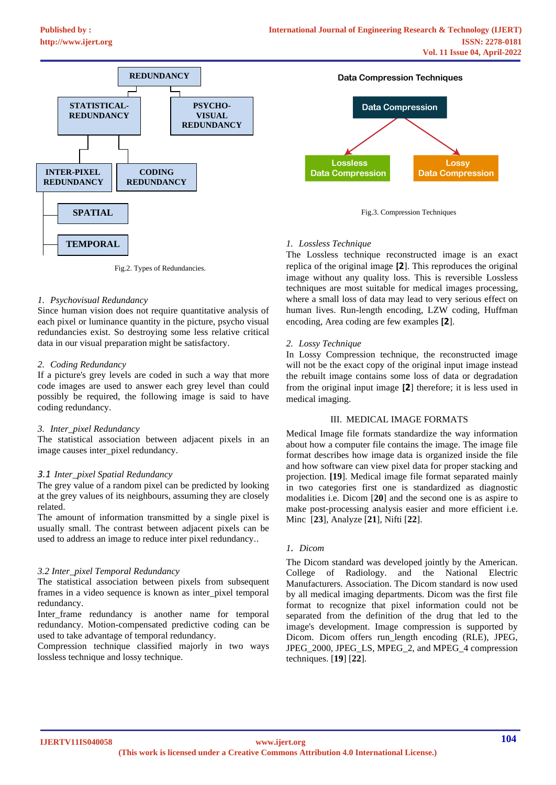

Fig.2. Types of Redundancies.

#### *1. Psychovisual Redundancy*

Since human vision does not require quantitative analysis of each pixel or luminance quantity in the picture, psycho visual redundancies exist. So destroying some less relative critical data in our visual preparation might be satisfactory.

#### *2. Coding Redundancy*

If a picture's grey levels are coded in such a way that more code images are used to answer each grey level than could possibly be required, the following image is said to have coding redundancy.

#### *3. Inter\_pixel Redundancy*

The statistical association between adjacent pixels in an image causes inter\_pixel redundancy.

#### *3.1 Inter\_pixel Spatial Redundancy*

The grey value of a random pixel can be predicted by looking at the grey values of its neighbours, assuming they are closely related.

The amount of information transmitted by a single pixel is usually small. The contrast between adjacent pixels can be used to address an image to reduce inter pixel redundancy..

#### *3.2 Inter\_pixel Temporal Redundancy*

The statistical association between pixels from subsequent frames in a video sequence is known as inter\_pixel temporal redundancy.

Inter\_frame redundancy is another name for temporal redundancy. Motion-compensated predictive coding can be used to take advantage of temporal redundancy.

Compression technique classified majorly in two ways lossless technique and lossy technique.



Fig.3. Compression Techniques

#### *1. Lossless Technique*

The Lossless technique reconstructed image is an exact replica of the original image **[[2](#page-5-0)**]. This reproduces the original image without any quality loss. This is reversible Lossless techniques are most suitable for medical images processing, where a small loss of data may lead to very serious effect on human lives. Run-length encoding, LZW coding, Huffman encoding, Area coding are few examples **[[2](#page-5-0)**].

#### *2. Lossy Technique*

In Lossy Compression technique, the reconstructed image will not be the exact copy of the original input image instead the rebuilt image contains some loss of data or degradation from the original input image **[[2](#page-5-0)**] therefore; it is less used in medical imaging.

#### III. MEDICAL IMAGE FORMATS

Medical Image file formats standardize the way information about how a computer file contains the image. The image file format describes how image data is organized inside the file and how software can view pixel data for proper stacking and projection. **[\[19](#page-5-0)**]. Medical image file format separated mainly in two categories first one is standardized as diagnostic modalities i.e. Dicom [**[20](#page-5-0)**] and the second one is as aspire to make post-processing analysis easier and more efficient i.e. Minc [**[23](#page-5-0)**], Analyze [**[21](#page-5-0)**], Nifti [**[22](#page-5-0)**].

#### *1. Dicom*

The Dicom standard was developed jointly by the American. College of Radiology. and the National Electric Manufacturers. Association. The Dicom standard is now used by all medical imaging departments. Dicom was the first file format to recognize that pixel information could not be separated from the definition of the drug that led to the image's development. Image compression is supported by Dicom. Dicom offers run\_length encoding (RLE), JPEG, JPEG\_2000, JPEG\_LS, MPEG\_2, and MPEG\_4 compression techniques. [**[19](#page-5-0)**] [**[22](#page-5-0)**].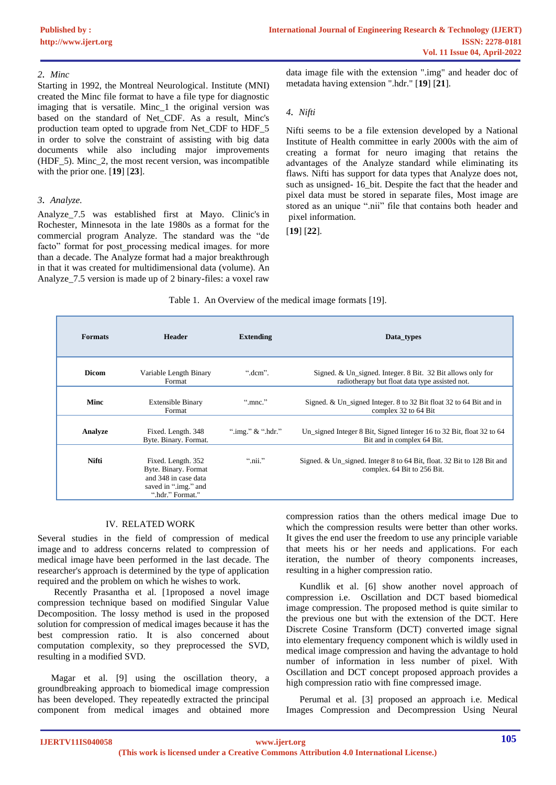## *2. Minc*

Starting in 1992, the Montreal Neurological. Institute (MNI) created the Minc file format to have a file type for diagnostic imaging that is versatile. Minc\_1 the original version was based on the standard of Net\_CDF. As a result, Minc's production team opted to upgrade from Net\_CDF to HDF\_5 in order to solve the constraint of assisting with big data documents while also including major improvements (HDF\_5). Minc\_2, the most recent version, was incompatible with the prior one. [**[19](#page-5-0)**] [**[23](#page-5-0)**].

## *3. Analyze.*

Analyze\_7.5 was established first at Mayo. Clinic's in Rochester, Minnesota in the late 1980s as a format for the commercial program Analyze. The standard was the "de facto" format for post processing medical images. for more than a decade. The Analyze format had a major breakthrough in that it was created for multidimensional data (volume). An Analyze\_7.5 version is made up of 2 binary-files: a voxel raw data image file with the extension ".img" and header doc of metadata having extension ".hdr." [**[19](#page-5-0)**] [**[21](#page-5-0)**].

### *4. Nifti*

Nifti seems to be a file extension developed by a National Institute of Health committee in early 2000s with the aim of creating a format for neuro imaging that retains the advantages of the Analyze standard while eliminating its flaws. Nifti has support for data types that Analyze does not, such as unsigned-  $16$  bit. Despite the fact that the header and pixel data must be stored in separate files, Most image are stored as an unique ".nii" file that contains both header and pixel information.

[**[19](#page-5-0)**] [**[22](#page-5-0)**].

#### Table 1. An Overview of the medical image formats [\[19\]](#page-5-0).

| <b>Formats</b> | <b>Header</b>                                                                                                  | <b>Extending</b>          | Data_types                                                                                                    |
|----------------|----------------------------------------------------------------------------------------------------------------|---------------------------|---------------------------------------------------------------------------------------------------------------|
| <b>Dicom</b>   | Variable Length Binary<br>Format                                                                               | " $dem$ ".                | Signed. & Un_signed. Integer. 8 Bit. 32 Bit allows only for<br>radiotherapy but float data type assisted not. |
| Minc           | <b>Extensible Binary</b><br>Format                                                                             | ".mnc."                   | Signed. & Un_signed Integer. 8 to 32 Bit float 32 to 64 Bit and in<br>complex 32 to 64 Bit                    |
| Analyze        | Fixed. Length. 348<br>Byte. Binary. Format.                                                                    | ".img." $&$ ".hdr."       | Un_signed Integer 8 Bit, Signed Integer 16 to 32 Bit, float 32 to 64<br>Bit and in complex 64 Bit.            |
| <b>Nifti</b>   | Fixed. Length. 352<br>Byte. Binary. Format<br>and 348 in case data<br>saved in ".img." and<br>".hdr." Format." | $\lq$ <sup>"</sup> .nii." | Signed. & Un_signed. Integer 8 to 64 Bit, float. 32 Bit to 128 Bit and<br>complex. 64 Bit to 256 Bit.         |

## IV. RELATED WORK

Several studies in the field of compression of medical image and to address concerns related to compression of medical image have been performed in the last decade. The researcher's approach is determined by the type of application required and the problem on which he wishes to work.

 Recently Prasantha et al. [\[1p](#page-5-0)roposed a novel image compression technique based on modified Singular Value Decomposition. The lossy method is used in the proposed solution for compression of medical images because it has the best compression ratio. It is also concerned about computation complexity, so they preprocessed the SVD, resulting in a modified SVD.

Magar et al. [\[9\]](#page-5-0) using the oscillation theory, a groundbreaking approach to biomedical image compression has been developed. They repeatedly extracted the principal component from medical images and obtained more compression ratios than the others medical image Due to which the compression results were better than other works. It gives the end user the freedom to use any principle variable that meets his or her needs and applications. For each iteration, the number of theory components increases, resulting in a higher compression ratio.

Kundlik et al. [\[6\]](#page-5-0) show another novel approach of compression i.e. Oscillation and DCT based biomedical image compression. The proposed method is quite similar to the previous one but with the extension of the DCT. Here Discrete Cosine Transform (DCT) converted image signal into elementary frequency component which is wildly used in medical image compression and having the advantage to hold number of information in less number of pixel. With Oscillation and DCT concept proposed approach provides a high compression ratio with fine compressed image.

Perumal et al. [\[3\]](#page-5-0) proposed an approach i.e. Medical Images Compression and Decompression Using Neural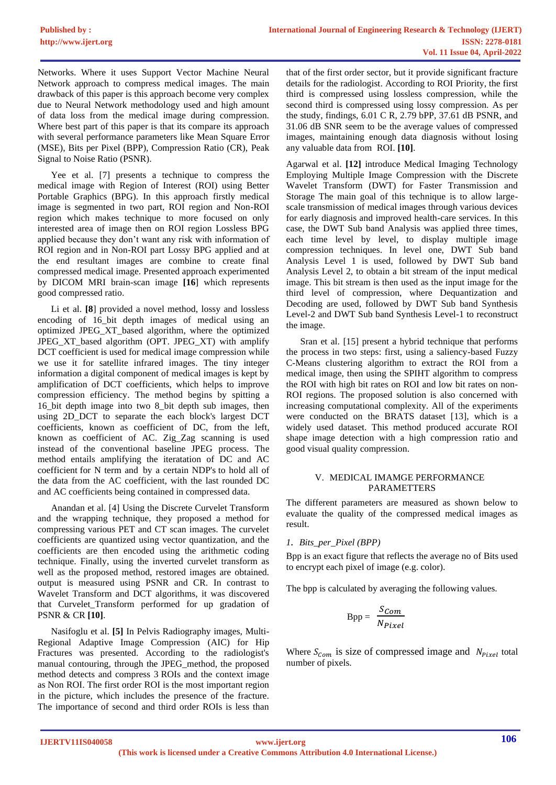Networks. Where it uses Support Vector Machine Neural Network approach to compress medical images. The main drawback of this paper is this approach become very complex due to Neural Network methodology used and high amount of data loss from the medical image during compression. Where best part of this paper is that its compare its approach with several performance parameters like Mean Square Error (MSE), Bits per Pixel (BPP), Compression Ratio (CR), Peak Signal to Noise Ratio (PSNR).

Yee et al. [\[7\]](#page-5-0) presents a technique to compress the medical image with Region of Interest (ROI) using Better Portable Graphics (BPG). In this approach firstly medical image is segmented in two part, ROI region and Non-ROI region which makes technique to more focused on only interested area of image then on ROI region Lossless BPG applied because they don't want any risk with information of ROI region and in Non-ROI part Lossy BPG applied and at the end resultant images are combine to create final compressed medical image. Presented approach experimented by DICOM MRI brain-scan image **[\[16](#page-5-0)**] which represents good compressed ratio.

Li et al. **[\[8](#page-5-0)**] provided a novel method, lossy and lossless encoding of 16\_bit depth images of medical using an optimized JPEG\_XT\_based algorithm, where the optimized JPEG\_XT\_based algorithm (OPT. JPEG\_XT) with amplify DCT coefficient is used for medical image compression while we use it for satellite infrared images. The tiny integer information a digital component of medical images is kept by amplification of DCT coefficients, which helps to improve compression efficiency. The method begins by spitting a 16\_bit depth image into two 8\_bit depth sub images, then using 2D\_DCT to separate the each block's largest DCT coefficients, known as coefficient of DC, from the left, known as coefficient of AC. Zig\_Zag scanning is used instead of the conventional baseline JPEG process. The method entails amplifying the iteratation of DC and AC coefficient for N term and by a certain NDP's to hold all of the data from the AC coefficient, with the last rounded DC and AC coefficients being contained in compressed data.

Anandan et al. [\[4\]](#page-5-0) Using the Discrete Curvelet Transform and the wrapping technique, they proposed a method for compressing various PET and CT scan images. The curvelet coefficients are quantized using vector quantization, and the coefficients are then encoded using the arithmetic coding technique. Finally, using the inverted curvelet transform as well as the proposed method, restored images are obtained. output is measured using PSNR and CR. In contrast to Wavelet Transform and DCT algorithms, it was discovered that Curvelet\_Transform performed for up gradation of PSNR & CR **[\[10\]](#page-5-0)**.

Nasifoglu et al. **[\[5\]](#page-5-0)** In Pelvis Radiography images, Multi-Regional Adaptive Image Compression (AIC) for Hip Fractures was presented. According to the radiologist's manual contouring, through the JPEG\_method, the proposed method detects and compress 3 ROIs and the context image as Non ROI. The first order ROI is the most important region in the picture, which includes the presence of the fracture. The importance of second and third order ROIs is less than

that of the first order sector, but it provide significant fracture details for the radiologist. According to ROI Priority, the first third is compressed using lossless compression, while the second third is compressed using lossy compression. As per the study, findings, 6.01 C R, 2.79 bPP, 37.61 dB PSNR, and 31.06 dB SNR seem to be the average values of compressed images, maintaining enough data diagnosis without losing any valuable data from ROI. **[\[10\]](#page-5-0)**.

Agarwal et al. **[\[12\]](#page-5-0)** introduce Medical Imaging Technology Employing Multiple Image Compression with the Discrete Wavelet Transform (DWT) for Faster Transmission and Storage The main goal of this technique is to allow largescale transmission of medical images through various devices for early diagnosis and improved health-care services. In this case, the DWT Sub band Analysis was applied three times, each time level by level, to display multiple image compression techniques. In level one, DWT Sub band Analysis Level 1 is used, followed by DWT Sub band Analysis Level 2, to obtain a bit stream of the input medical image. This bit stream is then used as the input image for the third level of compression, where Dequantization and Decoding are used, followed by DWT Sub band Synthesis Level-2 and DWT Sub band Synthesis Level-1 to reconstruct the image.

 Sran et al. [\[15\]](#page-5-0) present a hybrid technique that performs the process in two steps: first, using a saliency-based Fuzzy C-Means clustering algorithm to extract the ROI from a medical image, then using the SPIHT algorithm to compress the ROI with high bit rates on ROI and low bit rates on non-ROI regions. The proposed solution is also concerned with increasing computational complexity. All of the experiments were conducted on the BRATS dataset [\[13\]](#page-5-0), which is a widely used dataset. This method produced accurate ROI shape image detection with a high compression ratio and good visual quality compression.

#### V. MEDICAL IMAMGE PERFORMANCE PARAMETTERS

The different parameters are measured as shown below to evaluate the quality of the compressed medical images as result.

## *1. Bits\_per\_Pixel (BPP)*

Bpp is an exact figure that reflects the average no of Bits used to encrypt each pixel of image (e.g. color).

The bpp is calculated by averaging the following values.

$$
Bpp = \frac{S_{Com}}{N_{Pixel}}
$$

Where  $S_{\text{Com}}$  is size of compressed image and  $N_{\text{pixel}}$  total number of pixels.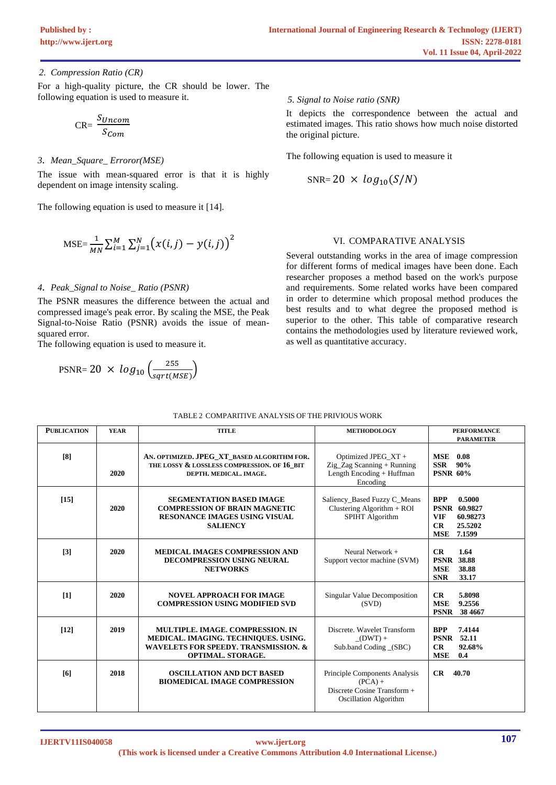## *2. Compression Ratio (CR)*

For a high-quality picture, the CR should be lower. The following equation is used to measure it.

$$
CR = \frac{S_{Uncom}}{S_{Com}}
$$

## *3. Mean\_Square\_ Erroror(MSE)*

The issue with mean-squared error is that it is highly dependent on image intensity scaling.

The following equation is used to measure it [\[14\]](#page-5-0).

$$
\text{MSE} = \frac{1}{MN} \sum_{i=1}^{M} \sum_{j=1}^{N} \bigl( x(i,j) - y(i,j) \bigr)^2
$$

## *4. Peak\_Signal to Noise\_ Ratio (PSNR)*

The PSNR measures the difference between the actual and compressed image's peak error. By scaling the MSE, the Peak Signal-to-Noise Ratio (PSNR) avoids the issue of meansquared error.

The following equation is used to measure it.

$$
\text{PSNR} = 20 \times \log_{10} \left( \frac{255}{sqrt(MSE)} \right)
$$

### *5. Signal to Noise ratio (SNR)*

It depicts the correspondence between the actual and estimated images. This ratio shows how much noise distorted the original picture.

The following equation is used to measure it

$$
SNR = 20 \times log_{10}(S/N)
$$

## VI. COMPARATIVE ANALYSIS

Several outstanding works in the area of image compression for different forms of medical images have been done. Each researcher proposes a method based on the work's purpose and requirements. Some related works have been compared in order to determine which proposal method produces the best results and to what degree the proposed method is superior to the other. This table of comparative research contains the methodologies used by literature reviewed work, as well as quantitative accuracy.

| <b>PUBLICATION</b> | <b>YEAR</b> | <b>TITLE</b>                                                                                                                                            | <b>METHODOLOGY</b>                                                                                        | <b>PERFORMANCE</b><br><b>PARAMETER</b>                                                                         |
|--------------------|-------------|---------------------------------------------------------------------------------------------------------------------------------------------------------|-----------------------------------------------------------------------------------------------------------|----------------------------------------------------------------------------------------------------------------|
| [8]                | 2020        | AN. OPTIMIZED. JPEG_XT_BASED ALGORITHM FOR.<br>THE LOSSY & LOSSLESS COMPRESSION. OF 16 BIT<br>DEPTH. MEDICAL. IMAGE.                                    | Optimized JPEG_XT +<br>Zig_Zag Scanning + Running<br>Length Encoding + Huffman<br>Encoding                | MSE<br>0.08<br><b>SSR</b><br>90%<br><b>PSNR 60%</b>                                                            |
| $[15]$             | 2020        | <b>SEGMENTATION BASED IMAGE</b><br><b>COMPRESSION OF BRAIN MAGNETIC</b><br><b>RESONANCE IMAGES USING VISUAL</b><br><b>SALIENCY</b>                      | Saliency_Based Fuzzy C_Means<br>Clustering Algorithm + ROI<br>SPIHT Algorithm                             | <b>BPP</b><br>0.5000<br><b>PSNR 60.9827</b><br><b>VIF</b><br>60.98273<br>CR<br>25.5202<br><b>MSE</b><br>7.1599 |
| $\lceil 3 \rceil$  | 2020        | <b>MEDICAL IMAGES COMPRESSION AND</b><br><b>DECOMPRESSION USING NEURAL</b><br><b>NETWORKS</b>                                                           | Neural Network +<br>Support vector machine (SVM)                                                          | CR<br>1.64<br><b>PSNR 38.88</b><br><b>MSE</b><br>38.88<br><b>SNR</b><br>33.17                                  |
| [1]                | 2020        | <b>NOVEL APPROACH FOR IMAGE</b><br><b>COMPRESSION USING MODIFIED SVD</b>                                                                                | <b>Singular Value Decomposition</b><br>(SVD)                                                              | CR<br>5.8098<br><b>MSE</b><br>9.2556<br><b>PSNR</b><br>38 4 6 6 7                                              |
| $[12]$             | 2019        | <b>MULTIPLE, IMAGE, COMPRESSION, IN</b><br>MEDICAL. IMAGING. TECHNIQUES. USING.<br><b>WAVELETS FOR SPEEDY. TRANSMISSION. &amp;</b><br>OPTIMAL. STORAGE. | Discrete. Wavelet Transform<br>$(DWT) +$<br>Sub.band Coding (SBC)                                         | 7.4144<br><b>BPP</b><br><b>PSNR</b> 52.11<br>CR<br>92.68%<br><b>MSE</b><br>0.4                                 |
| [6]                | 2018        | <b>OSCILLATION AND DCT BASED</b><br><b>BIOMEDICAL IMAGE COMPRESSION</b>                                                                                 | Principle Components Analysis<br>$(PCA) +$<br>Discrete Cosine Transform +<br><b>Oscillation Algorithm</b> | CR<br>40.70                                                                                                    |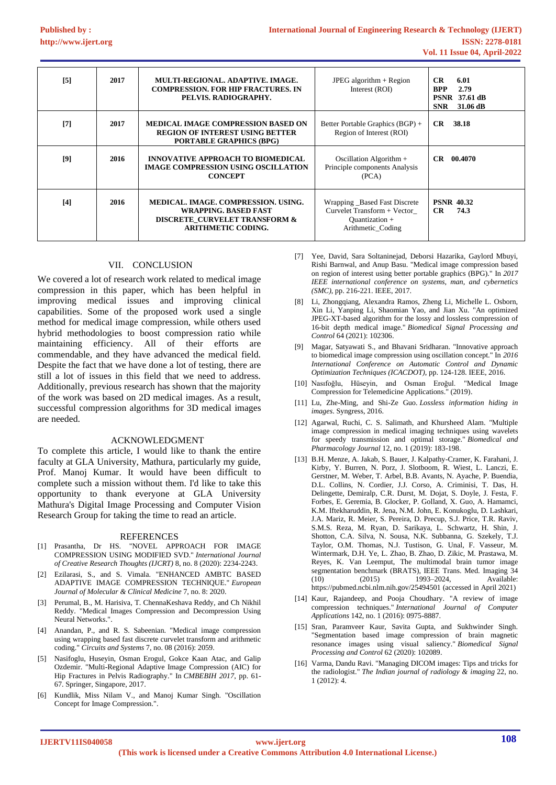| [5] | 2017 | MULTI-REGIONAL, ADAPTIVE, IMAGE,<br><b>COMPRESSION. FOR HIP FRACTURES. IN</b><br>PELVIS. RADIOGRAPHY.                            | JPEG algorithm $+$ Region<br>Interest (ROI)                                                        | CR.<br>6.01<br>2.79<br><b>BPP</b><br><b>PSNR</b> 37.61 dB<br><b>SNR</b><br>31.06 dB |
|-----|------|----------------------------------------------------------------------------------------------------------------------------------|----------------------------------------------------------------------------------------------------|-------------------------------------------------------------------------------------|
| [7] | 2017 | <b>MEDICAL IMAGE COMPRESSION BASED ON</b><br><b>REGION OF INTEREST USING BETTER</b><br><b>PORTABLE GRAPHICS (BPG)</b>            | Better Portable Graphics (BGP) +<br>Region of Interest (ROI)                                       | CR.<br>38.18                                                                        |
| [9] | 2016 | <b>INNOVATIVE APPROACH TO BIOMEDICAL</b><br><b>IMAGE COMPRESSION USING OSCILLATION</b><br><b>CONCEPT</b>                         | Oscillation Algorithm +<br>Principle components Analysis<br>(PCA)                                  | 00.4070<br>CR.                                                                      |
| [4] | 2016 | MEDICAL, IMAGE, COMPRESSION, USING.<br><b>WRAPPING. BASED FAST</b><br>DISCRETE CURVELET TRANSFORM &<br><b>ARITHMETIC CODING.</b> | Wrapping Based Fast Discrete<br>Curvelet Transform + Vector<br>Quantization +<br>Arithmetic_Coding | <b>PSNR 40.32</b><br>CR<br>74.3                                                     |

## VII. CONCLUSION

We covered a lot of research work related to medical image compression in this paper, which has been helpful in improving medical issues and improving clinical capabilities. Some of the proposed work used a single method for medical image compression, while others used hybrid methodologies to boost compression ratio while maintaining efficiency. All of their efforts are commendable, and they have advanced the medical field. Despite the fact that we have done a lot of testing, there are still a lot of issues in this field that we need to address. Additionally, previous research has shown that the majority of the work was based on 2D medical images. As a result, successful compression algorithms for 3D medical images are needed.

## ACKNOWLEDGMENT

To complete this article, I would like to thank the entire faculty at GLA University, Mathura, particularly my guide, Prof. Manoj Kumar. It would have been difficult to complete such a mission without them. I'd like to take this opportunity to thank everyone at GLA University Mathura's Digital Image Processing and Computer Vision Research Group for taking the time to read an article.

#### **REFERENCES**

- <span id="page-5-0"></span>[1] Prasantha, Dr HS. "NOVEL APPROACH FOR IMAGE COMPRESSION USING MODIFIED SVD." *International Journal of Creative Research Thoughts (IJCRT)* 8, no. 8 (2020): 2234-2243.
- [2] Ezilarasi, S., and S. Vimala. "ENHANCED AMBTC BASED ADAPTIVE IMAGE COMPRESSION TECHNIQUE." *European Journal of Molecular & Clinical Medicine* 7, no. 8: 2020.
- [3] Perumal, B., M. Harisiva, T. ChennaKeshava Reddy, and Ch Nikhil Reddy. "Medical Images Compression and Decompression Using Neural Networks.".
- [4] Anandan, P., and R. S. Sabeenian. "Medical image compression using wrapping based fast discrete curvelet transform and arithmetic coding." *Circuits and Systems* 7, no. 08 (2016): 2059.
- [5] Nasifoglu, Huseyin, Osman Erogul, Gokce Kaan Atac, and Galip Ozdemir. "Multi-Regional Adaptive Image Compression (AIC) for Hip Fractures in Pelvis Radiography." In *CMBEBIH 2017*, pp. 61- 67. Springer, Singapore, 2017.
- [6] Kundlik, Miss Nilam V., and Manoj Kumar Singh. "Oscillation Concept for Image Compression.".
- [7] Yee, David, Sara Soltaninejad, Deborsi Hazarika, Gaylord Mbuyi, Rishi Barnwal, and Anup Basu. "Medical image compression based on region of interest using better portable graphics (BPG)." In *2017 IEEE international conference on systems, man, and cybernetics (SMC)*, pp. 216-221. IEEE, 2017.
- [8] Li, Zhongqiang, Alexandra Ramos, Zheng Li, Michelle L. Osborn, Xin Li, Yanping Li, Shaomian Yao, and Jian Xu. "An optimized JPEG-XT-based algorithm for the lossy and lossless compression of 16-bit depth medical image." *Biomedical Signal Processing and Control* 64 (2021): 102306.
- [9] Magar, Satyawati S., and Bhavani Sridharan. "Innovative approach to biomedical image compression using oscillation concept." In *2016 International Conference on Automatic Control and Dynamic Optimization Techniques (ICACDOT)*, pp. 124-128. IEEE, 2016.
- [10] Nasıfoğlu, Hüseyin, and Osman Eroğul. "Medical Image Compression for Telemedicine Applications." (2019).
- [11] Lu, Zhe-Ming, and Shi-Ze Guo. *Lossless information hiding in images*. Syngress, 2016.
- [12] Agarwal, Ruchi, C. S. Salimath, and Khursheed Alam. "Multiple image compression in medical imaging techniques using wavelets for speedy transmission and optimal storage." *Biomedical and Pharmacology Journal* 12, no. 1 (2019): 183-198.
- [13] B.H. Menze, A. Jakab, S. Bauer, J. Kalpathy-Cramer, K. Farahani, J. Kirby, Y. Burren, N. Porz, J. Slotboom, R. Wiest, L. Lanczi, E. Gerstner, M. Weber, T. Arbel, B.B. Avants, N. Ayache, P. Buendia, D.L. Collins, N. Cordier, J.J. Corso, A. Criminisi, T. Das, H. Delingette, Demiralp, C.R. Durst, M. Dojat, S. Doyle, J. Festa, F. Forbes, E. Geremia, B. Glocker, P. Golland, X. Guo, A. Hamamci, K.M. Iftekharuddin, R. Jena, N.M. John, E. Konukoglu, D. Lashkari, J.A. Mariz, R. Meier, S. Pereira, D. Precup, S.J. Price, T.R. Raviv, S.M.S. Reza, M. Ryan, D. Sarikaya, L. Schwartz, H. Shin, J. Shotton, C.A. Silva, N. Sousa, N.K. Subbanna, G. Szekely, T.J. Taylor, O.M. Thomas, N.J. Tustison, G. Unal, F. Vasseur, M. Wintermark, D.H. Ye, L. Zhao, B. Zhao, D. Zikic, M. Prastawa, M. Reyes, K. Van Leemput, The multimodal brain tumor image segmentation benchmark (BRATS), IEEE Trans. Med. Imaging 34 (10) (2015) 1993–2024 Available: https://pubmed.ncbi.nlm.nih.gov/25494501 (accessed in April 2021)
- [14] Kaur, Rajandeep, and Pooja Choudhary. "A review of image compression techniques." *International Journal of Computer Applications* 142, no. 1 (2016): 0975-8887.
- [15] Sran, Paramveer Kaur, Savita Gupta, and Sukhwinder Singh. "Segmentation based image compression of brain magnetic resonance images using visual saliency." *Biomedical Signal Processing and Control* 62 (2020): 102089.
- [16] Varma, Dandu Ravi. "Managing DICOM images: Tips and tricks for the radiologist." *The Indian journal of radiology & imaging* 22, no. 1 (2012): 4.